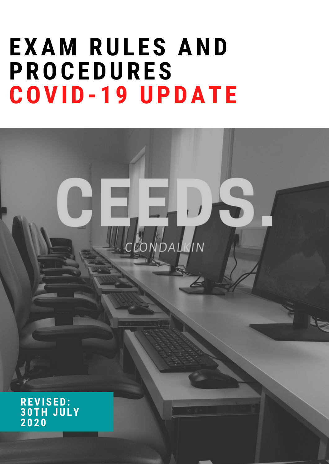## **EXAM RULES AND PROCEDURES COVID- 1 9 UPDATE**

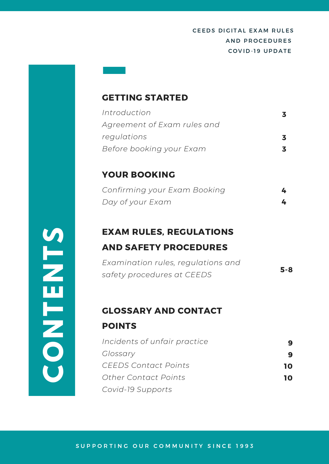#### GETTING STARTED

| Introduction                |  |
|-----------------------------|--|
| Agreement of Exam rules and |  |
| regulations                 |  |
| Before booking your Exam    |  |

#### YOUR BOOKING

| Confirming your Exam Booking |  |
|------------------------------|--|
| Day of your Exam             |  |

### EXAM RULES, REGULATIONS AND SAFETY PROCEDURES

| Examination rules, regulations and | $5 - 8$ |
|------------------------------------|---------|
| safety procedures at CEEDS         |         |

#### GLOSSARY AND CONTACT

#### POINTS

| Incidents of unfair practice |    |
|------------------------------|----|
| Glossary                     |    |
| CEEDS Contact Points         | 10 |
| Other Contact Points         | 10 |
| Covid-19 Supports            |    |

**CONTENTS**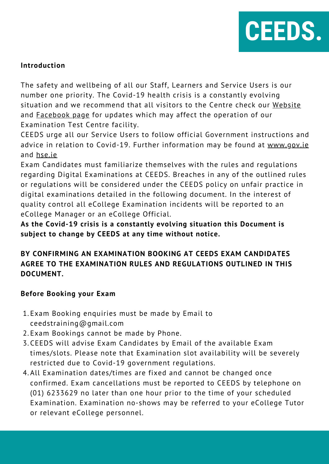

#### **Introduction**

The safety and wellbeing of all our Staff, Learners and Service Users is our number one priority. The Covid-19 health crisis is a constantly evolving situation and we recommend that all visitors to the Centre check our [Website](https://ceeds.ie/) and [Facebook](https://www.facebook.com/ceedstrainingclondalkin/) page for updates which may affect the operation of our Examination Test Centre facility.

CEEDS urge all our Service Users to follow official Government instructions and advice in relation to Covid-19. Further information may be found at www.qov.ie and [hse.ie](https://www.hse.ie/eng/)

regarding Digital Examinations at CEEDS. Breaches in any of the outlined rules<br>or requlations will be considered under the CFFDS policy on unfair practice in **IMPACT OF COVID-**digital examinations detailed in the following document. In the interest of quality control all eCollege Examination incidents will be reported to an<br>eCollege Manager or an eCollege Official. Exam Candidates must familiarize themselves with the rules and regulations or regulations will be considered under the CEEDS policy on unfair practice in eCollege Manager or an eCollege Official.

**As the Covid-19 crisis is a constantly evolving situation this Document is subject to change by CEEDS at any time without notice.**

#### **BY CONFIRMING AN EXAMINATION BOOKING AT CEEDS EXAM CANDIDATES AGREE TO THE EXAMINATION RULES AND REGULATIONS OUTLINED IN THIS DOCUMENT.**

#### **Before Booking your Exam**

- 1.Exam Booking enquiries must be made by Email to ceedstraining@gmail.com
- 2. Exam Bookings cannot be made by Phone.
- CEEDS will advise Exam Candidates by Email of the available Exam 3. times/slots. Please note that Examination slot availability will be severely restricted due to Covid-19 government regulations.
- All Examination dates/times are fixed and cannot be changed once 4. confirmed. Exam cancellations must be reported to CEEDS by telephone on (01) 6233629 no later than one hour prior to the time of your scheduled Examination. Examination no-shows may be referred to your eCollege Tutor or relevant eCollege personnel.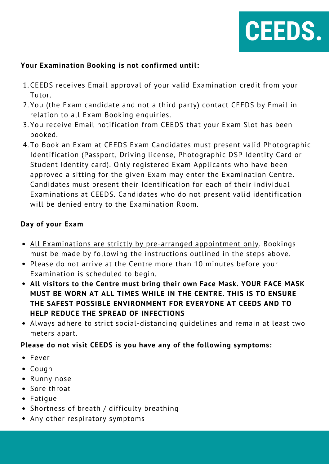

#### **Your Examination Booking is not confirmed until:**

- CEEDS receives Email approval of your valid Examination credit from your 1. Tutor.
- You (the Exam candidate and not a third party) contact CEEDS by Email in 2. relation to all Exam Booking enquiries.
- You receive Email notification from CEEDS that your Exam Slot has been 3. booked.
- approved a sitting for the given Exam may enter the Examination Centre.<br>Candidates must present their Identification for each of their individual **Examinations at CEEDS.** Candidates who do not present valid identification **19 ON BUSINESS** will be denied entry to the Examination Room. To Book an Exam at CEEDS Exam Candidates must present valid Photographic 4. Identification (Passport, Driving license, Photographic DSP Identity Card or Student Identity card). Only registered Exam Applicants who have been Candidates must present their Identification for each of their individual

#### **Day of your Exam**

- All Examinations are strictly by pre-arranged appointment only. Bookings must be made by following the instructions outlined in the steps above.
- Please do not arrive at the Centre more than 10 minutes before your Examination is scheduled to begin.
- **All visitors to the Centre must bring their own Face Mask. YOUR FACE MASK MUST BE WORN AT ALL TIMES WHILE IN THE CENTRE. THIS IS TO ENSURE THE SAFEST POSSIBLE ENVIRONMENT FOR EVERYONE AT CEEDS AND TO HELP REDUCE THE SPREAD OF INFECTIONS**
- Always adhere to strict social-distancing guidelines and remain at least two meters apart.

#### **Please do not visit CEEDS is you have any of the following symptoms:**

- Fever
- Cough
- Runny nose
- Sore throat
- Fatique
- Shortness of breath / difficulty breathing
- Any other respiratory symptoms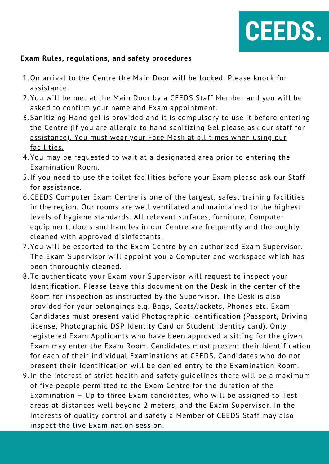

#### **Exam Rules, regulations, and safety procedures**

- 1.On arrival to the Centre the Main Door will be locked. Please knock for assistance.
- You will be met at the Main Door by a CEEDS Staff Member and you will be 2. asked to confirm your name and Exam appointment.
- 3. Sanitizing Hand gel is provided and it is compulsory to use it before entering the Centre (if you are allergic to hand sanitizing Gel please ask our staff for assistance). You must wear your Face Mask at all times when using our facilities.
- You may be requested to wait at a designated area prior to entering the 4. Examination Room.
- 5. If you need to use the toilet facilities before your Exam please ask our Staff for assistance.
- ror assistance.<br>6.CEEDS Computer Exam Centre is one of the largest, safest training facilities in the region. Our rooms are well ventilated and maintained to the highest<br>lovels of hygione standards, All relevant surfaces, furniture, Computer levels of hygiene standards. All relevant surfaces, furniture, Computer equipment, doors and handles in our Centre are frequently and thoroughly cleaned with approved disinfectants.
- You will be escorted to the Exam Centre by an authorized Exam Supervisor. 7. The Exam Supervisor will appoint you a Computer and workspace which has been thoroughly cleaned.
- To authenticate your Exam your Supervisor will request to inspect your 8. Identification. Please leave this document on the Desk in the center of the Room for inspection as instructed by the Supervisor. The Desk is also provided for your belongings e.g. Bags, Coats/Jackets, Phones etc. Exam Candidates must present valid Photographic Identification (Passport, Driving license, Photographic DSP Identity Card or Student Identity card). Only registered Exam Applicants who have been approved a sitting for the given Exam may enter the Exam Room. Candidates must present their Identification for each of their individual Examinations at CEEDS. Candidates who do not present their Identification will be denied entry to the Examination Room.
- 9. In the interest of strict health and safety guidelines there will be a maximum of five people permitted to the Exam Centre for the duration of the Examination – Up to three Exam candidates, who will be assigned to Test areas at distances well beyond 2 meters, and the Exam Supervisor. In the interests of quality control and safety a Member of CEEDS Staff may also inspect the live Examination session.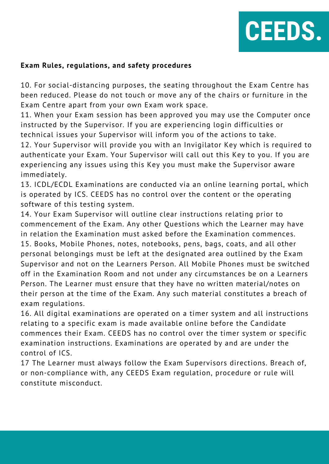

#### **Exam Rules, regulations, and safety procedures**

10. For social-distancing purposes, the seating throughout the Exam Centre has been reduced. Please do not touch or move any of the chairs or furniture in the Exam Centre apart from your own Exam work space.

11. When your Exam session has been approved you may use the Computer once instructed by the Supervisor. If you are experiencing login difficulties or technical issues your Supervisor will inform you of the actions to take.

12. Your Supervisor will provide you with an Invigilator Key which is required to authenticate your Exam. Your Supervisor will call out this Key to you. If you are experiencing any issues using this Key you must make the Supervisor aware immediately.

immediately.<br>13. ICDL/ECDL Examinations are conducted via an online learning portal, which **ISPACT COVID-MANUTIONS Are conducted that all offered image potents, the set of the operating** software of this testing system.<br>14. Your Exam Supervisor will ou

14. Your Exam Supervisor will outline clear instructions relating prior to commencement of the Exam. Any other Questions which the Learner may have in relation the Examination must asked before the Examination commences. 15. Books, Mobile Phones, notes, notebooks, pens, bags, coats, and all other personal belongings must be left at the designated area outlined by the Exam Supervisor and not on the Learners Person. All Mobile Phones must be switched off in the Examination Room and not under any circumstances be on a Learners Person. The Learner must ensure that they have no written material/notes on their person at the time of the Exam. Any such material constitutes a breach of exam regulations.

16. All digital examinations are operated on a timer system and all instructions relating to a specific exam is made available online before the Candidate commences their Exam. CEEDS has no control over the timer system or specific examination instructions. Examinations are operated by and are under the control of ICS.

17 The Learner must always follow the Exam Supervisors directions. Breach of, or non-compliance with, any CEEDS Exam regulation, procedure or rule will constitute misconduct.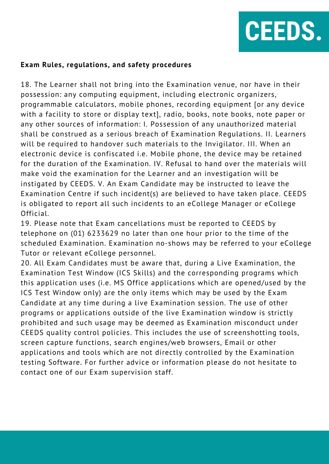

#### **Exam Rules, regulations, and safety procedures**

make void the examination for the Learner and an investigation will be<br>instigated by CEEDS. V. An Exam Candidate may be instructed to leave the **Examination Centre if such incident(s) are believed to have taken place. CEEDS** is obligated to report all such incidents to an eCollege Manager or eCollege<br>Official. 18. The Learner shall not bring into the Examination venue, nor have in their possession: any computing equipment, including electronic organizers, programmable calculators, mobile phones, recording equipment [or any device with a facility to store or display text], radio, books, note books, note paper or any other sources of information: I. Possession of any unauthorized material shall be construed as a serious breach of Examination Regulations. II. Learners will be required to handover such materials to the Invigilator. III. When an electronic device is confiscated i.e. Mobile phone, the device may be retained for the duration of the Examination. IV. Refusal to hand over the materials will make void the examination for the Learner and an investigation will be Official.

19. Please note that Exam cancellations must be reported to CEEDS by telephone on (01) 6233629 no later than one hour prior to the time of the scheduled Examination. Examination no-shows may be referred to your eCollege Tutor or relevant eCollege personnel.

20. All Exam Candidates must be aware that, during a Live Examination, the Examination Test Window (ICS Skills) and the corresponding programs which this application uses (i.e. MS Office applications which are opened/used by the ICS Test Window only) are the only items which may be used by the Exam Candidate at any time during a live Examination session. The use of other programs or applications outside of the live Examination window is strictly prohibited and such usage may be deemed as Examination misconduct under CEEDS quality control policies. This includes the use of screenshotting tools, screen capture functions, search engines/web browsers, Email or other applications and tools which are not directly controlled by the Examination testing Software. For further advice or information please do not hesitate to contact one of our Exam supervision staff.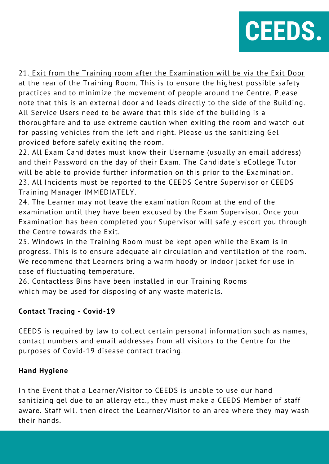

21. Exit from the Training room after the Examination will be via the Exit Door at the rear of the Training Room. This is to ensure the highest possible safety practices and to minimize the movement of people around the Centre. Please note that this is an external door and leads directly to the side of the Building. All Service Users need to be aware that this side of the building is a thoroughfare and to use extreme caution when exiting the room and watch out for passing vehicles from the left and right. Please us the sanitizing Gel provided before safely exiting the room.

will be able to provide further information on this prior to the Examination.<br>23. All Incidents must be reported to the CEEDS Centre Supervisor or CEEDS **Training Manager IMMEDIATELY.**<br>24 The Learner may not leave the av 22. All Exam Candidates must know their Username (usually an email address) and their Password on the day of their Exam. The Candidate's eCollege Tutor will be able to provide further information on this prior to the Examination.

**19 ON BUSINESS** examination until they have been excused by the Exam Supervisor. Once your 24. The Learner may not leave the examination Room at the end of the Examination has been completed your Supervisor will safely escort you through the Centre towards the Exit.

25. Windows in the Training Room must be kept open while the Exam is in progress. This is to ensure adequate air circulation and ventilation of the room. We recommend that Learners bring a warm hoody or indoor jacket for use in case of fluctuating temperature.

26. Contactless Bins have been installed in our Training Rooms which may be used for disposing of any waste materials.

#### **Contact Tracing - Covid-19**

CEEDS is required by law to collect certain personal information such as names, contact numbers and email addresses from all visitors to the Centre for the purposes of Covid-19 disease contact tracing.

#### **Hand Hygiene**

In the Event that a Learner/Visitor to CEEDS is unable to use our hand sanitizing gel due to an allergy etc., they must make a CEEDS Member of staff aware. Staff will then direct the Learner/Visitor to an area where they may wash their hands.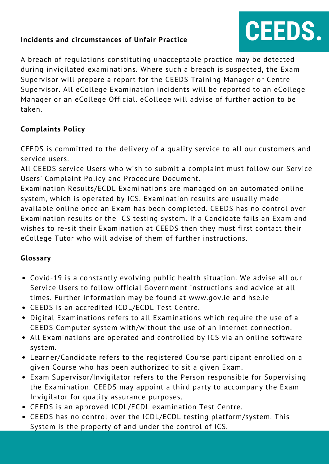#### **Incidents and circumstances of Unfair Practice**

# **CEEDS.**

A breach of regulations constituting unacceptable practice may be detected during invigilated examinations. Where such a breach is suspected, the Exam Supervisor will prepare a report for the CEEDS Training Manager or Centre Supervisor. All eCollege Examination incidents will be reported to an eCollege Manager or an eCollege Official. eCollege will advise of further action to be taken.

#### **Complaints Policy**

CEEDS is committed to the delivery of a quality service to all our customers and service users.

ARE SESSES FOLLER SERVICE THE THEFT TO SUBMIT TO SUMPORT.<br>Users' Complaint Policy and Procedure Document. All CEEDS service Users who wish to submit a complaint must follow our Service

Examination Results/ECDL Examinations are managed on an automated<br>system, which is operated by ICS. Examination results are usually made **19**<br>available online once an Exam has been completed. CEEDS has no control over Examination Results/ECDL Examinations are managed on an automated online Examination results or the ICS testing system. If a Candidate fails an Exam and wishes to re-sit their Examination at CEEDS then they must first contact their eCollege Tutor who will advise of them of further instructions.

#### **Glossary**

- Covid-19 is a constantly evolving public health situation. We advise all our Service Users to follow official Government instructions and advice at all times. Further information may be found at www.gov.ie and hse.ie
- CEEDS is an accredited ICDL/ECDL Test Centre.
- Digital Examinations refers to all Examinations which require the use of a CEEDS Computer system with/without the use of an internet connection.
- All Examinations are operated and controlled by ICS via an online software system.
- Learner/Candidate refers to the registered Course participant enrolled on a given Course who has been authorized to sit a given Exam.
- Exam Supervisor/Invigilator refers to the Person responsible for Supervising the Examination. CEEDS may appoint a third party to accompany the Exam Invigilator for quality assurance purposes.
- CEEDS is an approved ICDL/ECDL examination Test Centre.
- CEEDS has no control over the ICDL/ECDL testing platform/system. This System is the property of and under the control of ICS.